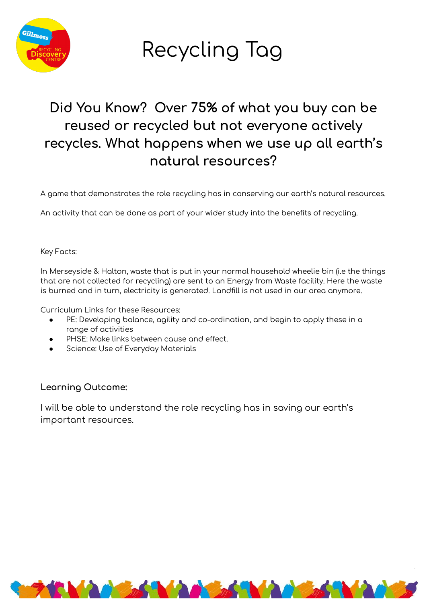

Recycling Tag

## Did You Know? Over 75% of what you buy can be reused or recycled but not everyone actively recycles. What happens when we use up all earth's notural resources?

A game that demonstrates the role recycling has in conserving our earth's natural resources.

An activity that can be done as part of your wider study into the benefits of recycling.

Key Facts:

In Merseyside & Halton, waste that is put in your normal household wheelie bin (i.e the things that are not collected for recycling) are sent to an Energy from Waste facility. Here the waste is burned and in turn, electricity is generated. Landfill is not used in our area anymore.

Curriculum Links for these Resources:

- PE: Developing balance, agility and co-ordination, and begin to apply these in a range of activities
- PHSE: Make links between cause and effect.
- Science: Use of Everyday Materials

### Learning Outcome:

I will be able to understand the role recycling has in saving our earth's important resources.